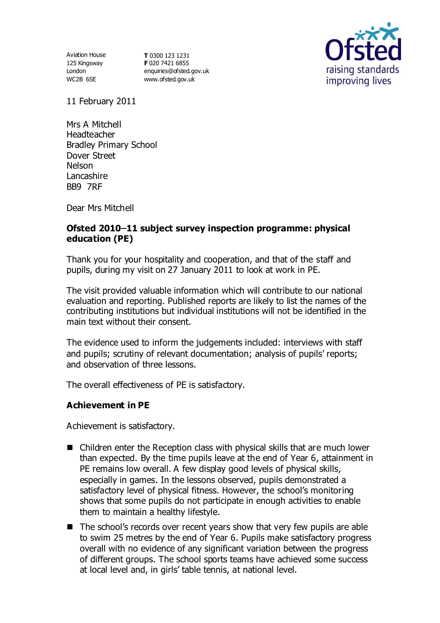125 Kingsway London WC2B 6SE

Aviation House **T** 0300 123 1231 **F** 020 7421 6855 [enquiries@ofsted.gov.uk](mailto:enquiries@ofsted.gov.uk) [www.ofsted.gov.uk](http://www.ofsted.gov.uk/)



11 February 2011

Mrs A Mitchell Headteacher Bradley Primary School Dover Street Nelson Lancashire BB9 7RF

Dear Mrs Mitchell

## **Ofsted 2010 11 subject survey inspection programme: physical education (PE)**

Thank you for your hospitality and cooperation, and that of the staff and pupils, during my visit on 27 January 2011 to look at work in PE.

The visit provided valuable information which will contribute to our national evaluation and reporting. Published reports are likely to list the names of the contributing institutions but individual institutions will not be identified in the main text without their consent.

The evidence used to inform the judgements included: interviews with staff and pupils; scrutiny of relevant documentation; analysis of pupils' reports; and observation of three lessons.

The overall effectiveness of PE is satisfactory.

### **Achievement in PE**

Achievement is satisfactory.

- Children enter the Reception class with physical skills that are much lower than expected. By the time pupils leave at the end of Year 6, attainment in PE remains low overall. A few display good levels of physical skills, especially in games. In the lessons observed, pupils demonstrated a satisfactory level of physical fitness. However, the school's monitoring shows that some pupils do not participate in enough activities to enable them to maintain a healthy lifestyle.
- The school's records over recent years show that very few pupils are able to swim 25 metres by the end of Year 6. Pupils make satisfactory progress overall with no evidence of any significant variation between the progress of different groups. The school sports teams have achieved some success at local level and, in girls' table tennis, at national level.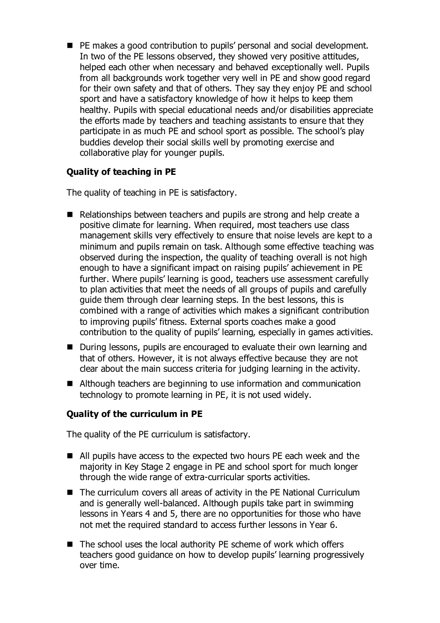■ PE makes a good contribution to pupils' personal and social development. In two of the PE lessons observed, they showed very positive attitudes, helped each other when necessary and behaved exceptionally well. Pupils from all backgrounds work together very well in PE and show good regard for their own safety and that of others. They say they enjoy PE and school sport and have a satisfactory knowledge of how it helps to keep them healthy. Pupils with special educational needs and/or disabilities appreciate the efforts made by teachers and teaching assistants to ensure that they participate in as much PE and school sport as possible. The school's play buddies develop their social skills well by promoting exercise and collaborative play for younger pupils.

# **Quality of teaching in PE**

The quality of teaching in PE is satisfactory.

- Relationships between teachers and pupils are strong and help create a positive climate for learning. When required, most teachers use class management skills very effectively to ensure that noise levels are kept to a minimum and pupils remain on task. Although some effective teaching was observed during the inspection, the quality of teaching overall is not high enough to have a significant impact on raising pupils' achievement in PE further. Where pupils' learning is good, teachers use assessment carefully to plan activities that meet the needs of all groups of pupils and carefully guide them through clear learning steps. In the best lessons, this is combined with a range of activities which makes a significant contribution to improving pupils' fitness. External sports coaches make a good contribution to the quality of pupils' learning, especially in games activities.
- During lessons, pupils are encouraged to evaluate their own learning and that of others. However, it is not always effective because they are not clear about the main success criteria for judging learning in the activity.
- Although teachers are beginning to use information and communication technology to promote learning in PE, it is not used widely.

### **Quality of the curriculum in PE**

The quality of the PE curriculum is satisfactory.

- All pupils have access to the expected two hours PE each week and the majority in Key Stage 2 engage in PE and school sport for much longer through the wide range of extra-curricular sports activities.
- The curriculum covers all areas of activity in the PE National Curriculum and is generally well-balanced. Although pupils take part in swimming lessons in Years 4 and 5, there are no opportunities for those who have not met the required standard to access further lessons in Year 6.
- The school uses the local authority PE scheme of work which offers teachers good guidance on how to develop pupils' learning progressively over time.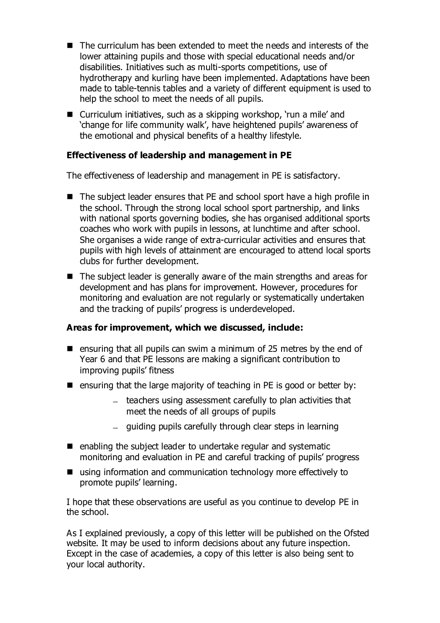- The curriculum has been extended to meet the needs and interests of the lower attaining pupils and those with special educational needs and/or disabilities. Initiatives such as multi-sports competitions, use of hydrotherapy and kurling have been implemented. Adaptations have been made to table-tennis tables and a variety of different equipment is used to help the school to meet the needs of all pupils.
- Curriculum initiatives, such as a skipping workshop, 'run a mile' and 'change for life community walk', have heightened pupils' awareness of the emotional and physical benefits of a healthy lifestyle.

#### **Effectiveness of leadership and management in PE**

The effectiveness of leadership and management in PE is satisfactory.

- The subject leader ensures that PE and school sport have a high profile in the school. Through the strong local school sport partnership, and links with national sports governing bodies, she has organised additional sports coaches who work with pupils in lessons, at lunchtime and after school. She organises a wide range of extra-curricular activities and ensures that pupils with high levels of attainment are encouraged to attend local sports clubs for further development.
- The subject leader is generally aware of the main strengths and areas for development and has plans for improvement. However, procedures for monitoring and evaluation are not regularly or systematically undertaken and the tracking of pupils' progress is underdeveloped.

#### **Areas for improvement, which we discussed, include:**

- **E** ensuring that all pupils can swim a minimum of 25 metres by the end of Year 6 and that PE lessons are making a significant contribution to improving pupils' fitness
- **E** ensuring that the large majority of teaching in PE is good or better by:
	- teachers using assessment carefully to plan activities that meet the needs of all groups of pupils
	- guiding pupils carefully through clear steps in learning
- $\blacksquare$  enabling the subject leader to undertake regular and systematic monitoring and evaluation in PE and careful tracking of pupils' progress
- using information and communication technology more effectively to promote pupils' learning.

I hope that these observations are useful as you continue to develop PE in the school.

As I explained previously, a copy of this letter will be published on the Ofsted website. It may be used to inform decisions about any future inspection. Except in the case of academies, a copy of this letter is also being sent to your local authority.